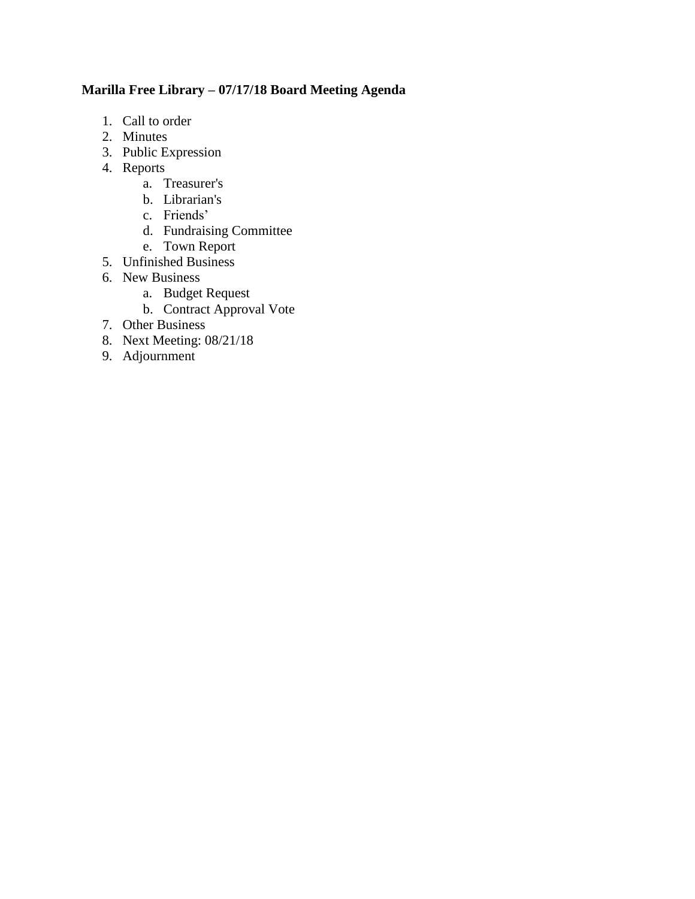## **Marilla Free Library – 07/17/18 Board Meeting Agenda**

- 1. Call to order
- 2. Minutes
- 3. Public Expression
- 4. Reports
	- a. Treasurer's
	- b. Librarian's
	- c. Friends'
	- d. Fundraising Committee
	- e. Town Report
- 5. Unfinished Business
- 6. New Business
	- a. Budget Request
	- b. Contract Approval Vote
- 7. Other Business
- 8. Next Meeting: 08/21/18
- 9. Adjournment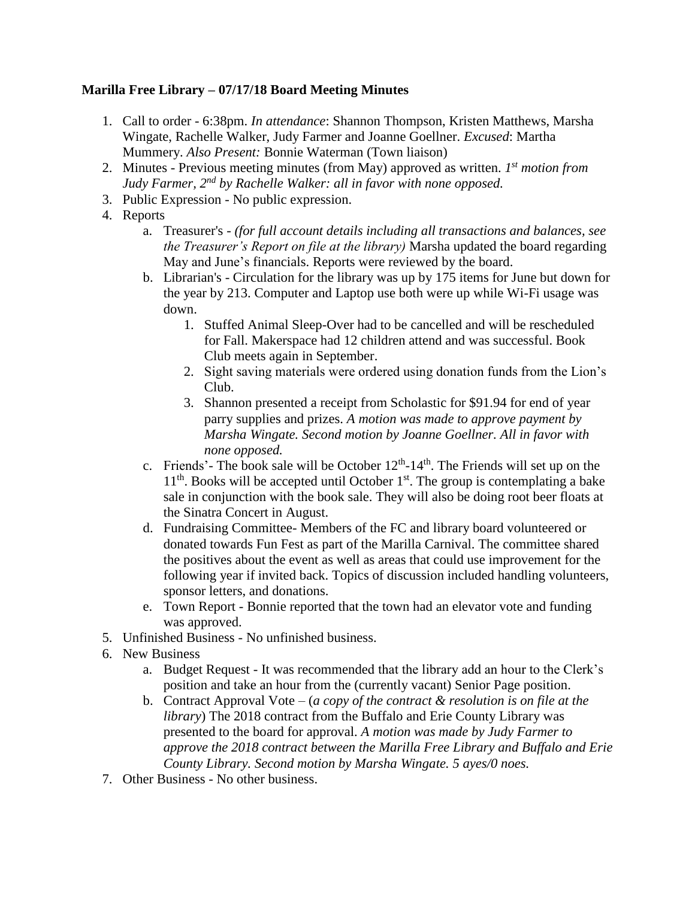## **Marilla Free Library – 07/17/18 Board Meeting Minutes**

- 1. Call to order 6:38pm. *In attendance*: Shannon Thompson, Kristen Matthews, Marsha Wingate, Rachelle Walker, Judy Farmer and Joanne Goellner. *Excused*: Martha Mummery. *Also Present:* Bonnie Waterman (Town liaison)
- 2. Minutes Previous meeting minutes (from May) approved as written. *1 st motion from Judy Farmer, 2nd by Rachelle Walker: all in favor with none opposed.*
- 3. Public Expression No public expression.
- 4. Reports
	- a. Treasurer's *(for full account details including all transactions and balances, see the Treasurer's Report on file at the library)* Marsha updated the board regarding May and June's financials. Reports were reviewed by the board.
	- b. Librarian's Circulation for the library was up by 175 items for June but down for the year by 213. Computer and Laptop use both were up while Wi-Fi usage was down.
		- 1. Stuffed Animal Sleep-Over had to be cancelled and will be rescheduled for Fall. Makerspace had 12 children attend and was successful. Book Club meets again in September.
		- 2. Sight saving materials were ordered using donation funds from the Lion's Club.
		- 3. Shannon presented a receipt from Scholastic for \$91.94 for end of year parry supplies and prizes. *A motion was made to approve payment by Marsha Wingate. Second motion by Joanne Goellner. All in favor with none opposed.*
	- c. Friends'- The book sale will be October  $12<sup>th</sup>$ -14<sup>th</sup>. The Friends will set up on the 11<sup>th</sup>. Books will be accepted until October 1<sup>st</sup>. The group is contemplating a bake sale in conjunction with the book sale. They will also be doing root beer floats at the Sinatra Concert in August.
	- d. Fundraising Committee- Members of the FC and library board volunteered or donated towards Fun Fest as part of the Marilla Carnival. The committee shared the positives about the event as well as areas that could use improvement for the following year if invited back. Topics of discussion included handling volunteers, sponsor letters, and donations.
	- e. Town Report Bonnie reported that the town had an elevator vote and funding was approved.
- 5. Unfinished Business No unfinished business.
- 6. New Business
	- a. Budget Request It was recommended that the library add an hour to the Clerk's position and take an hour from the (currently vacant) Senior Page position.
	- b. Contract Approval Vote (*a copy of the contract & resolution is on file at the library*) The 2018 contract from the Buffalo and Erie County Library was presented to the board for approval. *A motion was made by Judy Farmer to approve the 2018 contract between the Marilla Free Library and Buffalo and Erie County Library. Second motion by Marsha Wingate. 5 ayes/0 noes.*
- 7. Other Business No other business.